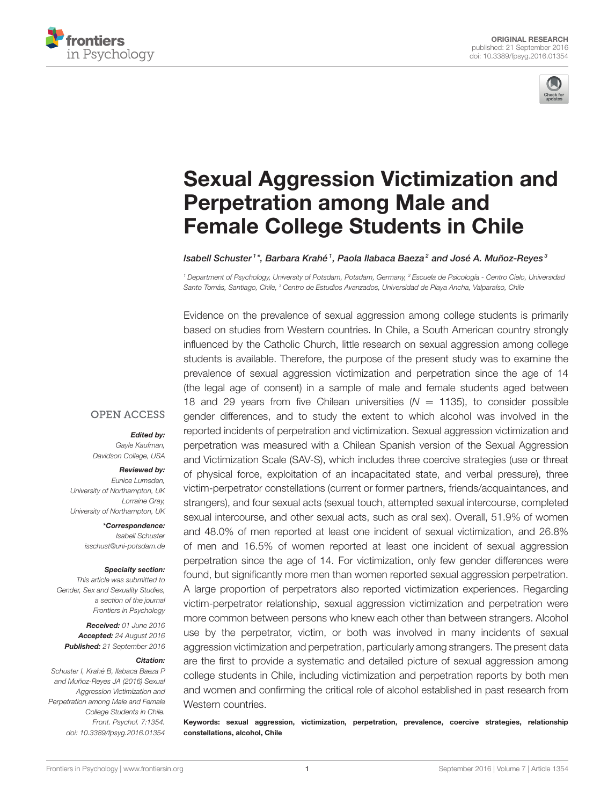



# [Sexual Aggression Victimization and](http://journal.frontiersin.org/article/10.3389/fpsyg.2016.01354/abstract) Perpetration among Male and Female College Students in Chile

[Isabell Schuster](http://loop.frontiersin.org/people/352894/overview)1\*, [Barbara Krahé](http://loop.frontiersin.org/people/177883/overview)1, [Paola Ilabaca Baeza](http://loop.frontiersin.org/people/376062/overview)<sup>2</sup> and [José A. Muñoz-Reyes](http://loop.frontiersin.org/people/236155/overview)<sup>s</sup>

<sup>1</sup> Department of Psychology, University of Potsdam, Potsdam, Germany, <sup>2</sup> Escuela de Psicología - Centro Cielo, Universidad Santo Tomás, Santiago, Chile, <sup>3</sup> Centro de Estudios Avanzados, Universidad de Playa Ancha, Valparaíso, Chile

Evidence on the prevalence of sexual aggression among college students is primarily based on studies from Western countries. In Chile, a South American country strongly influenced by the Catholic Church, little research on sexual aggression among college students is available. Therefore, the purpose of the present study was to examine the prevalence of sexual aggression victimization and perpetration since the age of 14 (the legal age of consent) in a sample of male and female students aged between 18 and 29 years from five Chilean universities ( $N = 1135$ ), to consider possible gender differences, and to study the extent to which alcohol was involved in the reported incidents of perpetration and victimization. Sexual aggression victimization and perpetration was measured with a Chilean Spanish version of the Sexual Aggression and Victimization Scale (SAV-S), which includes three coercive strategies (use or threat of physical force, exploitation of an incapacitated state, and verbal pressure), three victim-perpetrator constellations (current or former partners, friends/acquaintances, and strangers), and four sexual acts (sexual touch, attempted sexual intercourse, completed sexual intercourse, and other sexual acts, such as oral sex). Overall, 51.9% of women and 48.0% of men reported at least one incident of sexual victimization, and 26.8% of men and 16.5% of women reported at least one incident of sexual aggression perpetration since the age of 14. For victimization, only few gender differences were found, but significantly more men than women reported sexual aggression perpetration. A large proportion of perpetrators also reported victimization experiences. Regarding victim-perpetrator relationship, sexual aggression victimization and perpetration were more common between persons who knew each other than between strangers. Alcohol use by the perpetrator, victim, or both was involved in many incidents of sexual aggression victimization and perpetration, particularly among strangers. The present data are the first to provide a systematic and detailed picture of sexual aggression among college students in Chile, including victimization and perpetration reports by both men and women and confirming the critical role of alcohol established in past research from Western countries.

Keywords: sexual aggression, victimization, perpetration, prevalence, coercive strategies, relationship constellations, alcohol, Chile

#### **OPEN ACCESS**

#### Edited by:

Gayle Kaufman, Davidson College, USA

#### Reviewed by:

Eunice Lumsden, University of Northampton, UK Lorraine Gray, University of Northampton, UK

> \*Correspondence: Isabell Schuster [isschust@uni-potsdam.de](mailto:isschust@uni-potsdam.de)

#### Specialty section:

This article was submitted to Gender, Sex and Sexuality Studies, a section of the journal Frontiers in Psychology

Received: 01 June 2016 Accepted: 24 August 2016 Published: 21 September 2016

#### Citation:

Schuster I, Krahé B, Ilabaca Baeza P and Muñoz-Reyes JA (2016) Sexual Aggression Victimization and Perpetration among Male and Female College Students in Chile. Front. Psychol. 7:1354. doi: [10.3389/fpsyg.2016.01354](http://dx.doi.org/10.3389/fpsyg.2016.01354)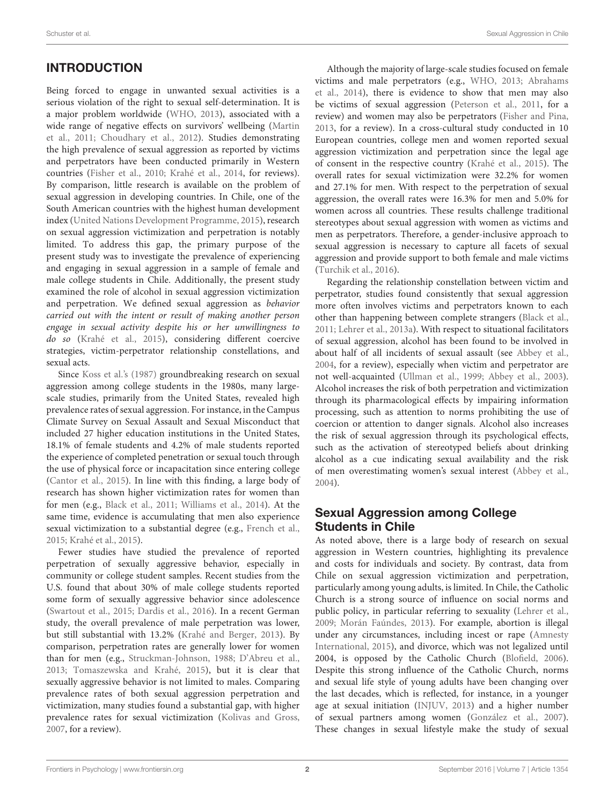# INTRODUCTION

Being forced to engage in unwanted sexual activities is a serious violation of the right to sexual self-determination. It is a major problem worldwide [\(WHO, 2013\)](#page-11-0), associated with a wide range of negative effects on survivors' wellbeing (Martin et al., [2011;](#page-10-0) [Choudhary et al., 2012\)](#page-9-0). Studies demonstrating the high prevalence of sexual aggression as reported by victims and perpetrators have been conducted primarily in Western countries [\(Fisher et al., 2010;](#page-9-1) [Krahé et al., 2014,](#page-10-1) for reviews). By comparison, little research is available on the problem of sexual aggression in developing countries. In Chile, one of the South American countries with the highest human development index [\(United Nations Development Programme, 2015\)](#page-11-1), research on sexual aggression victimization and perpetration is notably limited. To address this gap, the primary purpose of the present study was to investigate the prevalence of experiencing and engaging in sexual aggression in a sample of female and male college students in Chile. Additionally, the present study examined the role of alcohol in sexual aggression victimization and perpetration. We defined sexual aggression as behavior carried out with the intent or result of making another person engage in sexual activity despite his or her unwillingness to do so [\(Krahé et al., 2015\)](#page-10-2), considering different coercive strategies, victim-perpetrator relationship constellations, and sexual acts.

Since [Koss et al.'s \(1987\)](#page-10-3) groundbreaking research on sexual aggression among college students in the 1980s, many largescale studies, primarily from the United States, revealed high prevalence rates of sexual aggression. For instance, in the Campus Climate Survey on Sexual Assault and Sexual Misconduct that included 27 higher education institutions in the United States, 18.1% of female students and 4.2% of male students reported the experience of completed penetration or sexual touch through the use of physical force or incapacitation since entering college [\(Cantor et al., 2015\)](#page-9-2). In line with this finding, a large body of research has shown higher victimization rates for women than for men (e.g., [Black et al., 2011;](#page-9-3) [Williams et al., 2014\)](#page-11-2). At the same time, evidence is accumulating that men also experience sexual victimization to a substantial degree (e.g., [French et al.,](#page-9-4) [2015;](#page-9-4) [Krahé et al., 2015\)](#page-10-2).

Fewer studies have studied the prevalence of reported perpetration of sexually aggressive behavior, especially in community or college student samples. Recent studies from the U.S. found that about 30% of male college students reported some form of sexually aggressive behavior since adolescence [\(Swartout et al., 2015;](#page-10-4) [Dardis et al., 2016\)](#page-9-5). In a recent German study, the overall prevalence of male perpetration was lower, but still substantial with 13.2% [\(Krahé and Berger, 2013\)](#page-10-5). By comparison, perpetration rates are generally lower for women than for men (e.g., [Struckman-Johnson, 1988;](#page-10-6) [D'Abreu et al.,](#page-9-6) [2013;](#page-9-6) [Tomaszewska and Krahé, 2015\)](#page-10-7), but it is clear that sexually aggressive behavior is not limited to males. Comparing prevalence rates of both sexual aggression perpetration and victimization, many studies found a substantial gap, with higher prevalence rates for sexual victimization [\(Kolivas and Gross,](#page-10-8) [2007,](#page-10-8) for a review).

Although the majority of large-scale studies focused on female victims and male perpetrators (e.g., [WHO, 2013;](#page-11-0) Abrahams et al., [2014\)](#page-9-7), there is evidence to show that men may also be victims of sexual aggression [\(Peterson et al., 2011,](#page-10-9) for a review) and women may also be perpetrators [\(Fisher and Pina,](#page-9-8) [2013,](#page-9-8) for a review). In a cross-cultural study conducted in 10 European countries, college men and women reported sexual aggression victimization and perpetration since the legal age of consent in the respective country [\(Krahé et al., 2015\)](#page-10-2). The overall rates for sexual victimization were 32.2% for women and 27.1% for men. With respect to the perpetration of sexual aggression, the overall rates were 16.3% for men and 5.0% for women across all countries. These results challenge traditional stereotypes about sexual aggression with women as victims and men as perpetrators. Therefore, a gender-inclusive approach to sexual aggression is necessary to capture all facets of sexual aggression and provide support to both female and male victims [\(Turchik et al., 2016\)](#page-10-10).

Regarding the relationship constellation between victim and perpetrator, studies found consistently that sexual aggression more often involves victims and perpetrators known to each other than happening between complete strangers [\(Black et al.,](#page-9-3) [2011;](#page-9-3) [Lehrer et al., 2013a\)](#page-10-11). With respect to situational facilitators of sexual aggression, alcohol has been found to be involved in about half of all incidents of sexual assault (see [Abbey et al.,](#page-9-9) [2004,](#page-9-9) for a review), especially when victim and perpetrator are not well-acquainted [\(Ullman et al., 1999;](#page-10-12) [Abbey et al., 2003\)](#page-9-10). Alcohol increases the risk of both perpetration and victimization through its pharmacological effects by impairing information processing, such as attention to norms prohibiting the use of coercion or attention to danger signals. Alcohol also increases the risk of sexual aggression through its psychological effects, such as the activation of stereotyped beliefs about drinking alcohol as a cue indicating sexual availability and the risk of men overestimating women's sexual interest [\(Abbey et al.,](#page-9-9) [2004\)](#page-9-9).

# Sexual Aggression among College Students in Chile

As noted above, there is a large body of research on sexual aggression in Western countries, highlighting its prevalence and costs for individuals and society. By contrast, data from Chile on sexual aggression victimization and perpetration, particularly among young adults, is limited. In Chile, the Catholic Church is a strong source of influence on social norms and public policy, in particular referring to sexuality [\(Lehrer et al.,](#page-10-13) [2009;](#page-10-13) [Morán Faúndes, 2013\)](#page-10-14). For example, abortion is illegal under any circumstances, including incest or rape (Amnesty International, [2015\)](#page-9-11), and divorce, which was not legalized until 2004, is opposed by the Catholic Church [\(Blofield, 2006\)](#page-9-12). Despite this strong influence of the Catholic Church, norms and sexual life style of young adults have been changing over the last decades, which is reflected, for instance, in a younger age at sexual initiation [\(INJUV, 2013\)](#page-10-15) and a higher number of sexual partners among women [\(González et al., 2007\)](#page-9-13). These changes in sexual lifestyle make the study of sexual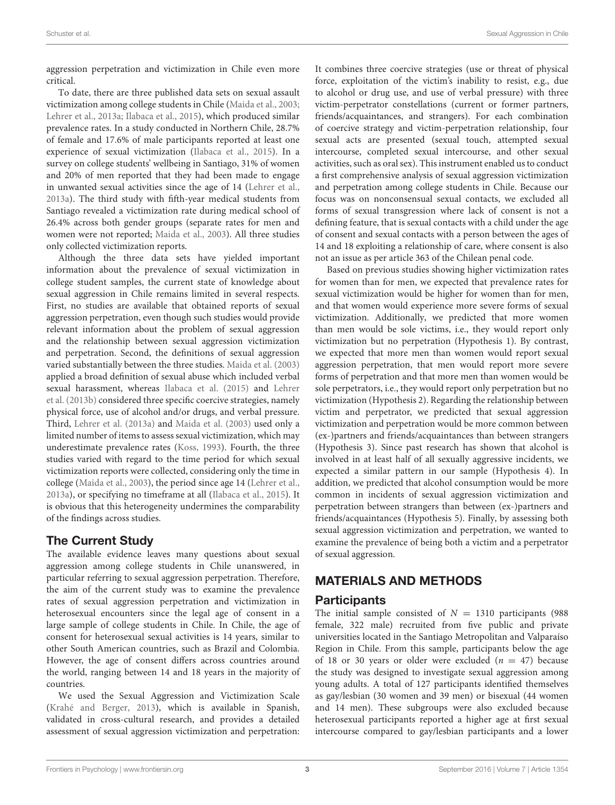aggression perpetration and victimization in Chile even more critical.

To date, there are three published data sets on sexual assault victimization among college students in Chile [\(Maida et al., 2003;](#page-10-16) [Lehrer et al., 2013a;](#page-10-11) [Ilabaca et al., 2015\)](#page-10-17), which produced similar prevalence rates. In a study conducted in Northern Chile, 28.7% of female and 17.6% of male participants reported at least one experience of sexual victimization [\(Ilabaca et al., 2015\)](#page-10-17). In a survey on college students' wellbeing in Santiago, 31% of women and 20% of men reported that they had been made to engage in unwanted sexual activities since the age of 14 [\(Lehrer et al.,](#page-10-11) [2013a\)](#page-10-11). The third study with fifth-year medical students from Santiago revealed a victimization rate during medical school of 26.4% across both gender groups (separate rates for men and women were not reported; [Maida et al., 2003\)](#page-10-16). All three studies only collected victimization reports.

Although the three data sets have yielded important information about the prevalence of sexual victimization in college student samples, the current state of knowledge about sexual aggression in Chile remains limited in several respects. First, no studies are available that obtained reports of sexual aggression perpetration, even though such studies would provide relevant information about the problem of sexual aggression and the relationship between sexual aggression victimization and perpetration. Second, the definitions of sexual aggression varied substantially between the three studies. [Maida et al. \(2003\)](#page-10-16) applied a broad definition of sexual abuse which included verbal sexual harassment, whereas [Ilabaca et al. \(2015\)](#page-10-17) and Lehrer et al. [\(2013b\)](#page-10-18) considered three specific coercive strategies, namely physical force, use of alcohol and/or drugs, and verbal pressure. Third, [Lehrer et al. \(2013a\)](#page-10-11) and [Maida et al. \(2003\)](#page-10-16) used only a limited number of items to assess sexual victimization, which may underestimate prevalence rates [\(Koss, 1993\)](#page-10-19). Fourth, the three studies varied with regard to the time period for which sexual victimization reports were collected, considering only the time in college [\(Maida et al., 2003\)](#page-10-16), the period since age 14 [\(Lehrer et al.,](#page-10-11) [2013a\)](#page-10-11), or specifying no timeframe at all [\(Ilabaca et al., 2015\)](#page-10-17). It is obvious that this heterogeneity undermines the comparability of the findings across studies.

# The Current Study

The available evidence leaves many questions about sexual aggression among college students in Chile unanswered, in particular referring to sexual aggression perpetration. Therefore, the aim of the current study was to examine the prevalence rates of sexual aggression perpetration and victimization in heterosexual encounters since the legal age of consent in a large sample of college students in Chile. In Chile, the age of consent for heterosexual sexual activities is 14 years, similar to other South American countries, such as Brazil and Colombia. However, the age of consent differs across countries around the world, ranging between 14 and 18 years in the majority of countries.

We used the Sexual Aggression and Victimization Scale [\(Krahé and Berger, 2013\)](#page-10-5), which is available in Spanish, validated in cross-cultural research, and provides a detailed assessment of sexual aggression victimization and perpetration: It combines three coercive strategies (use or threat of physical force, exploitation of the victim's inability to resist, e.g., due to alcohol or drug use, and use of verbal pressure) with three victim-perpetrator constellations (current or former partners, friends/acquaintances, and strangers). For each combination of coercive strategy and victim-perpetration relationship, four sexual acts are presented (sexual touch, attempted sexual intercourse, completed sexual intercourse, and other sexual activities, such as oral sex). This instrument enabled us to conduct a first comprehensive analysis of sexual aggression victimization and perpetration among college students in Chile. Because our focus was on nonconsensual sexual contacts, we excluded all forms of sexual transgression where lack of consent is not a defining feature, that is sexual contacts with a child under the age of consent and sexual contacts with a person between the ages of 14 and 18 exploiting a relationship of care, where consent is also not an issue as per article 363 of the Chilean penal code.

Based on previous studies showing higher victimization rates for women than for men, we expected that prevalence rates for sexual victimization would be higher for women than for men, and that women would experience more severe forms of sexual victimization. Additionally, we predicted that more women than men would be sole victims, i.e., they would report only victimization but no perpetration (Hypothesis 1). By contrast, we expected that more men than women would report sexual aggression perpetration, that men would report more severe forms of perpetration and that more men than women would be sole perpetrators, i.e., they would report only perpetration but no victimization (Hypothesis 2). Regarding the relationship between victim and perpetrator, we predicted that sexual aggression victimization and perpetration would be more common between (ex-)partners and friends/acquaintances than between strangers (Hypothesis 3). Since past research has shown that alcohol is involved in at least half of all sexually aggressive incidents, we expected a similar pattern in our sample (Hypothesis 4). In addition, we predicted that alcohol consumption would be more common in incidents of sexual aggression victimization and perpetration between strangers than between (ex-)partners and friends/acquaintances (Hypothesis 5). Finally, by assessing both sexual aggression victimization and perpetration, we wanted to examine the prevalence of being both a victim and a perpetrator of sexual aggression.

# MATERIALS AND METHODS

## Participants

The initial sample consisted of  $N = 1310$  participants (988) female, 322 male) recruited from five public and private universities located in the Santiago Metropolitan and Valparaíso Region in Chile. From this sample, participants below the age of 18 or 30 years or older were excluded  $(n = 47)$  because the study was designed to investigate sexual aggression among young adults. A total of 127 participants identified themselves as gay/lesbian (30 women and 39 men) or bisexual (44 women and 14 men). These subgroups were also excluded because heterosexual participants reported a higher age at first sexual intercourse compared to gay/lesbian participants and a lower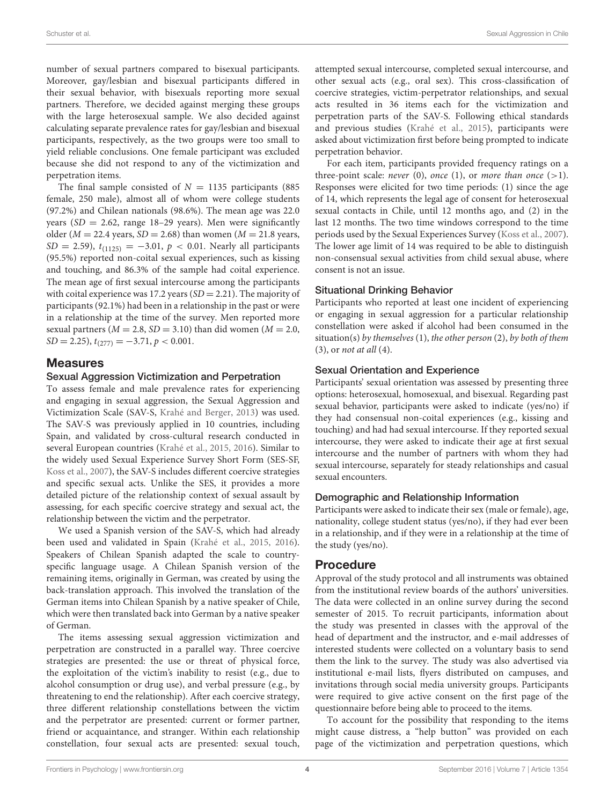number of sexual partners compared to bisexual participants. Moreover, gay/lesbian and bisexual participants differed in their sexual behavior, with bisexuals reporting more sexual partners. Therefore, we decided against merging these groups with the large heterosexual sample. We also decided against calculating separate prevalence rates for gay/lesbian and bisexual participants, respectively, as the two groups were too small to yield reliable conclusions. One female participant was excluded because she did not respond to any of the victimization and perpetration items.

The final sample consisted of  $N = 1135$  participants (885) female, 250 male), almost all of whom were college students (97.2%) and Chilean nationals (98.6%). The mean age was 22.0 years ( $SD = 2.62$ , range 18-29 years). Men were significantly older ( $M = 22.4$  years,  $SD = 2.68$ ) than women ( $M = 21.8$  years,  $SD = 2.59$ ),  $t_{(1125)} = -3.01$ ,  $p < 0.01$ . Nearly all participants (95.5%) reported non-coital sexual experiences, such as kissing and touching, and 86.3% of the sample had coital experience. The mean age of first sexual intercourse among the participants with coital experience was 17.2 years  $(SD = 2.21)$ . The majority of participants (92.1%) had been in a relationship in the past or were in a relationship at the time of the survey. Men reported more sexual partners ( $M = 2.8$ ,  $SD = 3.10$ ) than did women ( $M = 2.0$ ,  $SD = 2.25$ ,  $t_{(277)} = -3.71$ ,  $p < 0.001$ .

## Measures

#### Sexual Aggression Victimization and Perpetration

To assess female and male prevalence rates for experiencing and engaging in sexual aggression, the Sexual Aggression and Victimization Scale (SAV-S, [Krahé and Berger, 2013\)](#page-10-5) was used. The SAV-S was previously applied in 10 countries, including Spain, and validated by cross-cultural research conducted in several European countries [\(Krahé et al., 2015,](#page-10-2) [2016\)](#page-10-20). Similar to the widely used Sexual Experience Survey Short Form (SES-SF, [Koss et al., 2007\)](#page-10-21), the SAV-S includes different coercive strategies and specific sexual acts. Unlike the SES, it provides a more detailed picture of the relationship context of sexual assault by assessing, for each specific coercive strategy and sexual act, the relationship between the victim and the perpetrator.

We used a Spanish version of the SAV-S, which had already been used and validated in Spain [\(Krahé et al., 2015,](#page-10-2) [2016\)](#page-10-20). Speakers of Chilean Spanish adapted the scale to countryspecific language usage. A Chilean Spanish version of the remaining items, originally in German, was created by using the back-translation approach. This involved the translation of the German items into Chilean Spanish by a native speaker of Chile, which were then translated back into German by a native speaker of German.

The items assessing sexual aggression victimization and perpetration are constructed in a parallel way. Three coercive strategies are presented: the use or threat of physical force, the exploitation of the victim's inability to resist (e.g., due to alcohol consumption or drug use), and verbal pressure (e.g., by threatening to end the relationship). After each coercive strategy, three different relationship constellations between the victim and the perpetrator are presented: current or former partner, friend or acquaintance, and stranger. Within each relationship constellation, four sexual acts are presented: sexual touch, attempted sexual intercourse, completed sexual intercourse, and other sexual acts (e.g., oral sex). This cross-classification of coercive strategies, victim-perpetrator relationships, and sexual acts resulted in 36 items each for the victimization and perpetration parts of the SAV-S. Following ethical standards and previous studies [\(Krahé et al., 2015\)](#page-10-2), participants were asked about victimization first before being prompted to indicate perpetration behavior.

For each item, participants provided frequency ratings on a three-point scale: never  $(0)$ , once  $(1)$ , or more than once  $(>1)$ . Responses were elicited for two time periods: (1) since the age of 14, which represents the legal age of consent for heterosexual sexual contacts in Chile, until 12 months ago, and (2) in the last 12 months. The two time windows correspond to the time periods used by the Sexual Experiences Survey [\(Koss et al., 2007\)](#page-10-21). The lower age limit of 14 was required to be able to distinguish non-consensual sexual activities from child sexual abuse, where consent is not an issue.

## Situational Drinking Behavior

Participants who reported at least one incident of experiencing or engaging in sexual aggression for a particular relationship constellation were asked if alcohol had been consumed in the situation(s) by themselves  $(1)$ , the other person  $(2)$ , by both of them (3), or not at all (4).

#### Sexual Orientation and Experience

Participants' sexual orientation was assessed by presenting three options: heterosexual, homosexual, and bisexual. Regarding past sexual behavior, participants were asked to indicate (yes/no) if they had consensual non-coital experiences (e.g., kissing and touching) and had had sexual intercourse. If they reported sexual intercourse, they were asked to indicate their age at first sexual intercourse and the number of partners with whom they had sexual intercourse, separately for steady relationships and casual sexual encounters.

#### Demographic and Relationship Information

Participants were asked to indicate their sex (male or female), age, nationality, college student status (yes/no), if they had ever been in a relationship, and if they were in a relationship at the time of the study (yes/no).

## Procedure

Approval of the study protocol and all instruments was obtained from the institutional review boards of the authors' universities. The data were collected in an online survey during the second semester of 2015. To recruit participants, information about the study was presented in classes with the approval of the head of department and the instructor, and e-mail addresses of interested students were collected on a voluntary basis to send them the link to the survey. The study was also advertised via institutional e-mail lists, flyers distributed on campuses, and invitations through social media university groups. Participants were required to give active consent on the first page of the questionnaire before being able to proceed to the items.

To account for the possibility that responding to the items might cause distress, a "help button" was provided on each page of the victimization and perpetration questions, which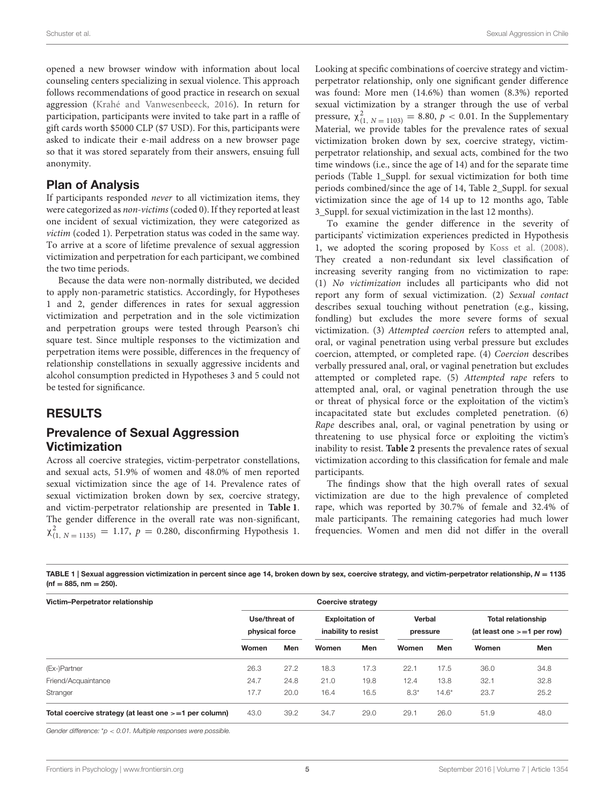opened a new browser window with information about local counseling centers specializing in sexual violence. This approach follows recommendations of good practice in research on sexual aggression [\(Krahé and Vanwesenbeeck, 2016\)](#page-10-22). In return for participation, participants were invited to take part in a raffle of gift cards worth \$5000 CLP (\$7 USD). For this, participants were asked to indicate their e-mail address on a new browser page so that it was stored separately from their answers, ensuing full anonymity.

#### Plan of Analysis

If participants responded never to all victimization items, they were categorized as non-victims (coded 0). If they reported at least one incident of sexual victimization, they were categorized as victim (coded 1). Perpetration status was coded in the same way. To arrive at a score of lifetime prevalence of sexual aggression victimization and perpetration for each participant, we combined the two time periods.

Because the data were non-normally distributed, we decided to apply non-parametric statistics. Accordingly, for Hypotheses 1 and 2, gender differences in rates for sexual aggression victimization and perpetration and in the sole victimization and perpetration groups were tested through Pearson's chi square test. Since multiple responses to the victimization and perpetration items were possible, differences in the frequency of relationship constellations in sexually aggressive incidents and alcohol consumption predicted in Hypotheses 3 and 5 could not be tested for significance.

## RESULTS

## Prevalence of Sexual Aggression Victimization

Across all coercive strategies, victim-perpetrator constellations, and sexual acts, 51.9% of women and 48.0% of men reported sexual victimization since the age of 14. Prevalence rates of sexual victimization broken down by sex, coercive strategy, and victim-perpetrator relationship are presented in **[Table 1](#page-4-0)**. The gender difference in the overall rate was non-significant,  $\chi^2_{(1, N=1135)} = 1.17, p = 0.280,$  disconfirming Hypothesis 1.

Looking at specific combinations of coercive strategy and victimperpetrator relationship, only one significant gender difference was found: More men (14.6%) than women (8.3%) reported sexual victimization by a stranger through the use of verbal pressure,  $\chi^2_{(1, N=1103)} = 8.80, p < 0.01$ . In the Supplementary Material, we provide tables for the prevalence rates of sexual victimization broken down by sex, coercive strategy, victimperpetrator relationship, and sexual acts, combined for the two time windows (i.e., since the age of 14) and for the separate time periods (Table 1\_Suppl. for sexual victimization for both time periods combined/since the age of 14, Table 2\_Suppl. for sexual victimization since the age of 14 up to 12 months ago, Table 3\_Suppl. for sexual victimization in the last 12 months).

To examine the gender difference in the severity of participants' victimization experiences predicted in Hypothesis 1, we adopted the scoring proposed by [Koss et al. \(2008\)](#page-10-23). They created a non-redundant six level classification of increasing severity ranging from no victimization to rape: (1) No victimization includes all participants who did not report any form of sexual victimization. (2) Sexual contact describes sexual touching without penetration (e.g., kissing, fondling) but excludes the more severe forms of sexual victimization. (3) Attempted coercion refers to attempted anal, oral, or vaginal penetration using verbal pressure but excludes coercion, attempted, or completed rape. (4) Coercion describes verbally pressured anal, oral, or vaginal penetration but excludes attempted or completed rape. (5) Attempted rape refers to attempted anal, oral, or vaginal penetration through the use or threat of physical force or the exploitation of the victim's incapacitated state but excludes completed penetration. (6) Rape describes anal, oral, or vaginal penetration by using or threatening to use physical force or exploiting the victim's inability to resist. **[Table 2](#page-5-0)** presents the prevalence rates of sexual victimization according to this classification for female and male participants.

The findings show that the high overall rates of sexual victimization are due to the high prevalence of completed rape, which was reported by 30.7% of female and 32.4% of male participants. The remaining categories had much lower frequencies. Women and men did not differ in the overall

<span id="page-4-0"></span>TABLE 1 | Sexual aggression victimization in percent since age 14, broken down by sex, coercive strategy, and victim-perpetrator relationship,  $N = 1135$  $(nf = 885, nm = 250).$ 

| Victim-Perpetrator relationship                         | Coercive strategy               |      |                                               |      |                    |         |                                                           |      |
|---------------------------------------------------------|---------------------------------|------|-----------------------------------------------|------|--------------------|---------|-----------------------------------------------------------|------|
|                                                         | Use/threat of<br>physical force |      | <b>Exploitation of</b><br>inability to resist |      | Verbal<br>pressure |         | <b>Total relationship</b><br>(at least one $>=1$ per row) |      |
|                                                         | Women                           | Men  | Women                                         | Men  | Women              | Men     | Women                                                     | Men  |
| (Ex-)Partner                                            | 26.3                            | 27.2 | 18.3                                          | 17.3 | 22.1               | 17.5    | 36.0                                                      | 34.8 |
| Friend/Acquaintance                                     | 24.7                            | 24.8 | 21.0                                          | 19.8 | 12.4               | 13.8    | 32.1                                                      | 32.8 |
| Stranger                                                | 17.7                            | 20.0 | 16.4                                          | 16.5 | $8.3*$             | $14.6*$ | 23.7                                                      | 25.2 |
| Total coercive strategy (at least one $>=1$ per column) | 43.0                            | 39.2 | 34.7                                          | 29.0 | 29.1               | 26.0    | 51.9                                                      | 48.0 |

Gender difference:  $p < 0.01$ . Multiple responses were possible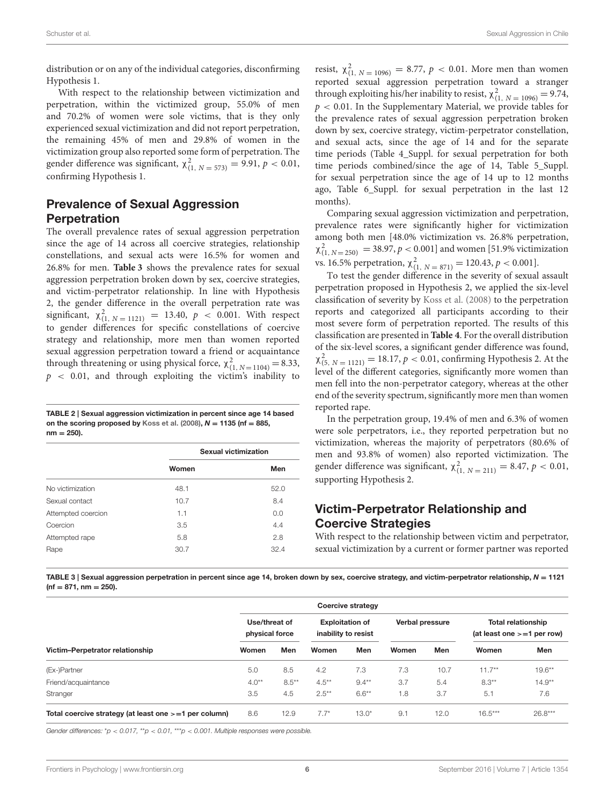distribution or on any of the individual categories, disconfirming Hypothesis 1.

With respect to the relationship between victimization and perpetration, within the victimized group, 55.0% of men and 70.2% of women were sole victims, that is they only experienced sexual victimization and did not report perpetration, the remaining 45% of men and 29.8% of women in the victimization group also reported some form of perpetration. The gender difference was significant,  $\chi^2_{(1, N=573)} = 9.91, p < 0.01,$ confirming Hypothesis 1.

## Prevalence of Sexual Aggression Perpetration

The overall prevalence rates of sexual aggression perpetration since the age of 14 across all coercive strategies, relationship constellations, and sexual acts were 16.5% for women and 26.8% for men. **[Table 3](#page-5-1)** shows the prevalence rates for sexual aggression perpetration broken down by sex, coercive strategies, and victim-perpetrator relationship. In line with Hypothesis 2, the gender difference in the overall perpetration rate was significant,  $\chi^2_{(1, N=1121)} = 13.40, p < 0.001$ . With respect to gender differences for specific constellations of coercive strategy and relationship, more men than women reported sexual aggression perpetration toward a friend or acquaintance through threatening or using physical force,  $\chi^2_{(1, N=1104)} = 8.33$ ,  $p$  < 0.01, and through exploiting the victim's inability to

<span id="page-5-0"></span>TABLE 2 | Sexual aggression victimization in percent since age 14 based on the scoring proposed by [Koss et al. \(2008\)](#page-10-23),  $N = 1135$  (nf = 885,  $nm = 250$ ).

| Men  |
|------|
|      |
| 52.0 |
| 8.4  |
| 0.0  |
| 4.4  |
| 2.8  |
| 32.4 |
|      |

resist,  $\chi^{2}_{(1, N=1096)} = 8.77$ ,  $p < 0.01$ . More men than women reported sexual aggression perpetration toward a stranger through exploiting his/her inability to resist,  $\chi^2_{(1, N = 1096)} = 9.74$ ,  $p < 0.01$ . In the Supplementary Material, we provide tables for the prevalence rates of sexual aggression perpetration broken down by sex, coercive strategy, victim-perpetrator constellation, and sexual acts, since the age of 14 and for the separate time periods (Table 4\_Suppl. for sexual perpetration for both time periods combined/since the age of 14, Table 5\_Suppl. for sexual perpetration since the age of 14 up to 12 months ago, Table 6\_Suppl. for sexual perpetration in the last 12 months).

Comparing sexual aggression victimization and perpetration, prevalence rates were significantly higher for victimization among both men [48.0% victimization vs. 26.8% perpetration,  $\chi^2_{(1, N=250)} = 38.97, p < 0.001$ ] and women [51.9% victimization vs. 16.5% perpetration,  $\chi^2_{(1, N = 871)} = 120.43, p < 0.001$ .

To test the gender difference in the severity of sexual assault perpetration proposed in Hypothesis 2, we applied the six-level classification of severity by [Koss et al. \(2008\)](#page-10-23) to the perpetration reports and categorized all participants according to their most severe form of perpetration reported. The results of this classification are presented in **[Table 4](#page-6-0)**. For the overall distribution of the six-level scores, a significant gender difference was found,  $\chi^2_{(5, N=1121)} = 18.17, p < 0.01$ , confirming Hypothesis 2. At the level of the different categories, significantly more women than men fell into the non-perpetrator category, whereas at the other end of the severity spectrum, significantly more men than women reported rape.

In the perpetration group, 19.4% of men and 6.3% of women were sole perpetrators, i.e., they reported perpetration but no victimization, whereas the majority of perpetrators (80.6% of men and 93.8% of women) also reported victimization. The gender difference was significant,  $\chi^{2}_{(1, N = 211)} = 8.47, p < 0.01,$ supporting Hypothesis 2.

# Victim-Perpetrator Relationship and Coercive Strategies

With respect to the relationship between victim and perpetrator, sexual victimization by a current or former partner was reported

<span id="page-5-1"></span>TABLE 3 | Sexual aggression perpetration in percent since age 14, broken down by sex, coercive strategy, and victim-perpetrator relationship,  $N = 1121$  $(nf = 871, nm = 250)$ .

|                                                         | Coercive strategy               |          |                                               |          |                 |      |                                                           |           |
|---------------------------------------------------------|---------------------------------|----------|-----------------------------------------------|----------|-----------------|------|-----------------------------------------------------------|-----------|
|                                                         | Use/threat of<br>physical force |          | <b>Exploitation of</b><br>inability to resist |          | Verbal pressure |      | <b>Total relationship</b><br>(at least one $>=1$ per row) |           |
| Victim-Perpetrator relationship                         | Women                           | Men      | Women                                         | Men      | Women           | Men  | Women                                                     | Men       |
| (Ex-)Partner                                            | 5.0                             | 8.5      | 4.2                                           | 7.3      | 7.3             | 10.7 | $11.7**$                                                  | $19.6***$ |
| Friend/acquaintance                                     | $4.0**$                         | $8.5***$ | $4.5***$                                      | $9.4***$ | 3.7             | 5.4  | $8.3**$                                                   | $14.9**$  |
| Stranger                                                | 3.5                             | 4.5      | $2.5***$                                      | $6.6**$  | 1.8             | 3.7  | 5.1                                                       | 7.6       |
| Total coercive strategy (at least one $>=1$ per column) | 8.6                             | 12.9     | $7.7*$                                        | $13.0*$  | 9.1             | 12.0 | $16.5***$                                                 | $26.8***$ |

Gender differences: \*p < 0.017, \*\*p < 0.01, \*\*\*p < 0.001. Multiple responses were possible.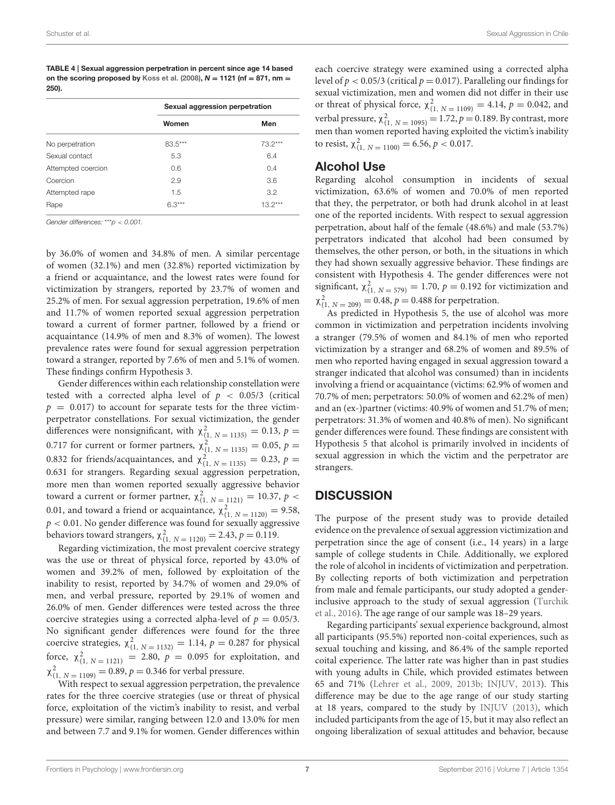<span id="page-6-0"></span>TABLE 4 | Sexual aggression perpetration in percent since age 14 based on the scoring proposed by [Koss et al. \(2008\)](#page-10-23),  $N = 1121$  (nf = 871, nm = 250).

|                    | Sexual aggression perpetration |           |  |  |
|--------------------|--------------------------------|-----------|--|--|
|                    | Women                          | Men       |  |  |
| No perpetration    | $83.5***$                      | $73.2***$ |  |  |
| Sexual contact     | 5.3                            | 6.4       |  |  |
| Attempted coercion | 0.6                            | 0.4       |  |  |
| Coercion           | 2.9                            | 3.6       |  |  |
| Attempted rape     | 1.5                            | 3.2       |  |  |
| Rape               | $6.3***$                       | $13.2***$ |  |  |

Gender differences: \*\*\*p < 0.001.

by 36.0% of women and 34.8% of men. A similar percentage of women (32.1%) and men (32.8%) reported victimization by a friend or acquaintance, and the lowest rates were found for victimization by strangers, reported by 23.7% of women and 25.2% of men. For sexual aggression perpetration, 19.6% of men and 11.7% of women reported sexual aggression perpetration toward a current of former partner, followed by a friend or acquaintance (14.9% of men and 8.3% of women). The lowest prevalence rates were found for sexual aggression perpetration toward a stranger, reported by 7.6% of men and 5.1% of women. These findings confirm Hypothesis 3.

Gender differences within each relationship constellation were tested with a corrected alpha level of  $p < 0.05/3$  (critical  $p = 0.017$ ) to account for separate tests for the three victimperpetrator constellations. For sexual victimization, the gender differences were nonsignificant, with  $\chi^2_{(1, N=1135)} = 0.13$ ,  $p =$ 0.717 for current or former partners,  $\chi^2_{(1, N=1135)} = 0.05$ ,  $p =$ 0.832 for friends/acquaintances, and  $\chi^2_{(1, N=1135)} = 0.23$ ,  $p =$ 0.631 for strangers. Regarding sexual aggression perpetration, more men than women reported sexually aggressive behavior toward a current or former partner,  $\chi^2_{(1, N = 1121)} = 10.37, p <$ 0.01, and toward a friend or acquaintance,  $\chi^2_{(1, N=1120)} = 9.58$ ,  $p < 0.01$ . No gender difference was found for sexually aggressive behaviors toward strangers,  $\chi^2_{(1, N=1120)} = 2.43, p = 0.119.$ 

Regarding victimization, the most prevalent coercive strategy was the use or threat of physical force, reported by 43.0% of women and 39.2% of men, followed by exploitation of the inability to resist, reported by 34.7% of women and 29.0% of men, and verbal pressure, reported by 29.1% of women and 26.0% of men. Gender differences were tested across the three coercive strategies using a corrected alpha-level of  $p = 0.05/3$ . No significant gender differences were found for the three coercive strategies,  $\chi^{2}_{(1, N=1132)} = 1.14$ ,  $p = 0.287$  for physical force,  $\chi^2_{(1, N=1121)} = 2.80, p = 0.095$  for exploitation, and  $\chi^2_{(1, N=1109)} = 0.89, p = 0.346$  for verbal pressure.

With respect to sexual aggression perpetration, the prevalence rates for the three coercive strategies (use or threat of physical force, exploitation of the victim's inability to resist, and verbal pressure) were similar, ranging between 12.0 and 13.0% for men and between 7.7 and 9.1% for women. Gender differences within

each coercive strategy were examined using a corrected alpha level of  $p < 0.05/3$  (critical  $p = 0.017$ ). Paralleling our findings for sexual victimization, men and women did not differ in their use or threat of physical force,  $\chi^2_{(1, N=1109)} = 4.14$ ,  $p = 0.042$ , and verbal pressure,  $χ_{(1, N = 1095)}^2 = 1.72, p = 0.189$ . By contrast, more men than women reported having exploited the victim's inability to resist,  $\chi^2_{(1, N=1100)} = 6.56, p < 0.017$ .

#### Alcohol Use

Regarding alcohol consumption in incidents of sexual victimization, 63.6% of women and 70.0% of men reported that they, the perpetrator, or both had drunk alcohol in at least one of the reported incidents. With respect to sexual aggression perpetration, about half of the female (48.6%) and male (53.7%) perpetrators indicated that alcohol had been consumed by themselves, the other person, or both, in the situations in which they had shown sexually aggressive behavior. These findings are consistent with Hypothesis 4. The gender differences were not significant,  $\chi^{2}_{(1, N=579)} = 1.70, p = 0.192$  for victimization and  $\chi^2_{(1, N=209)} = 0.48, p = 0.488$  for perpetration.

As predicted in Hypothesis 5, the use of alcohol was more common in victimization and perpetration incidents involving a stranger (79.5% of women and 84.1% of men who reported victimization by a stranger and 68.2% of women and 89.5% of men who reported having engaged in sexual aggression toward a stranger indicated that alcohol was consumed) than in incidents involving a friend or acquaintance (victims: 62.9% of women and 70.7% of men; perpetrators: 50.0% of women and 62.2% of men) and an (ex-)partner (victims: 40.9% of women and 51.7% of men; perpetrators: 31.3% of women and 40.8% of men). No significant gender differences were found. These findings are consistent with Hypothesis 5 that alcohol is primarily involved in incidents of sexual aggression in which the victim and the perpetrator are strangers.

#### **DISCUSSION**

The purpose of the present study was to provide detailed evidence on the prevalence of sexual aggression victimization and perpetration since the age of consent (i.e., 14 years) in a large sample of college students in Chile. Additionally, we explored the role of alcohol in incidents of victimization and perpetration. By collecting reports of both victimization and perpetration from male and female participants, our study adopted a genderinclusive approach to the study of sexual aggression (Turchik et al., [2016\)](#page-10-10). The age range of our sample was 18–29 years.

Regarding participants' sexual experience background, almost all participants (95.5%) reported non-coital experiences, such as sexual touching and kissing, and 86.4% of the sample reported coital experience. The latter rate was higher than in past studies with young adults in Chile, which provided estimates between 65 and 71% [\(Lehrer et al., 2009,](#page-10-13) [2013b;](#page-10-18) [INJUV, 2013\)](#page-10-15). This difference may be due to the age range of our study starting at 18 years, compared to the study by [INJUV \(2013\)](#page-10-15), which included participants from the age of 15, but it may also reflect an ongoing liberalization of sexual attitudes and behavior, because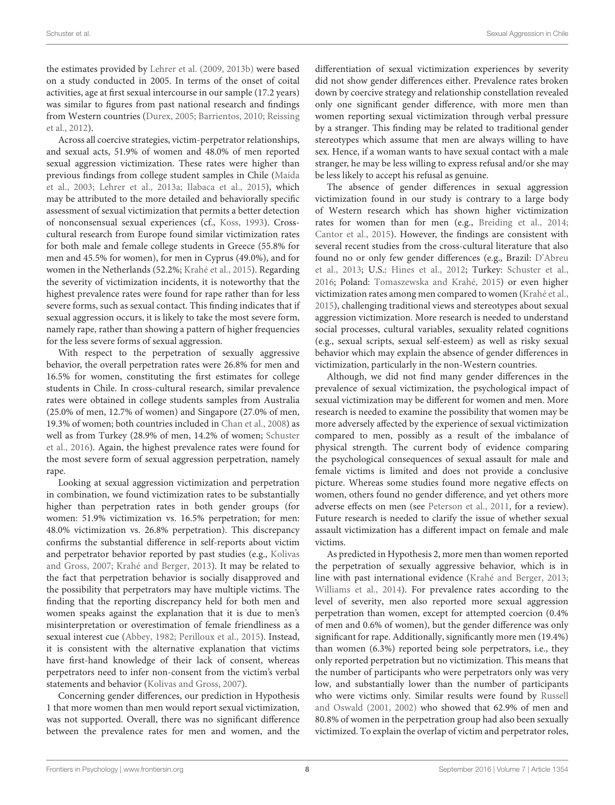the estimates provided by [Lehrer et al. \(2009,](#page-10-13) [2013b\)](#page-10-18) were based on a study conducted in 2005. In terms of the onset of coital activities, age at first sexual intercourse in our sample (17.2 years) was similar to figures from past national research and findings from Western countries [\(Durex, 2005;](#page-9-14) [Barrientos, 2010;](#page-9-15) Reissing et al., [2012\)](#page-10-24).

Across all coercive strategies, victim-perpetrator relationships, and sexual acts, 51.9% of women and 48.0% of men reported sexual aggression victimization. These rates were higher than previous findings from college student samples in Chile (Maida et al., [2003;](#page-10-16) [Lehrer et al., 2013a;](#page-10-11) [Ilabaca et al., 2015\)](#page-10-17), which may be attributed to the more detailed and behaviorally specific assessment of sexual victimization that permits a better detection of nonconsensual sexual experiences (cf., [Koss, 1993\)](#page-10-19). Crosscultural research from Europe found similar victimization rates for both male and female college students in Greece (55.8% for men and 45.5% for women), for men in Cyprus (49.0%), and for women in the Netherlands (52.2%; [Krahé et al., 2015\)](#page-10-2). Regarding the severity of victimization incidents, it is noteworthy that the highest prevalence rates were found for rape rather than for less severe forms, such as sexual contact. This finding indicates that if sexual aggression occurs, it is likely to take the most severe form, namely rape, rather than showing a pattern of higher frequencies for the less severe forms of sexual aggression.

With respect to the perpetration of sexually aggressive behavior, the overall perpetration rates were 26.8% for men and 16.5% for women, constituting the first estimates for college students in Chile. In cross-cultural research, similar prevalence rates were obtained in college students samples from Australia (25.0% of men, 12.7% of women) and Singapore (27.0% of men, 19.3% of women; both countries included in [Chan et al., 2008\)](#page-9-16) as well as from Turkey (28.9% of men, 14.2% of women; Schuster et al., [2016\)](#page-10-25). Again, the highest prevalence rates were found for the most severe form of sexual aggression perpetration, namely rape.

Looking at sexual aggression victimization and perpetration in combination, we found victimization rates to be substantially higher than perpetration rates in both gender groups (for women: 51.9% victimization vs. 16.5% perpetration; for men: 48.0% victimization vs. 26.8% perpetration). This discrepancy confirms the substantial difference in self-reports about victim and perpetrator behavior reported by past studies (e.g., Kolivas and Gross, [2007;](#page-10-8) [Krahé and Berger, 2013\)](#page-10-5). It may be related to the fact that perpetration behavior is socially disapproved and the possibility that perpetrators may have multiple victims. The finding that the reporting discrepancy held for both men and women speaks against the explanation that it is due to men's misinterpretation or overestimation of female friendliness as a sexual interest cue [\(Abbey, 1982;](#page-9-17) [Perilloux et al., 2015\)](#page-10-26). Instead, it is consistent with the alternative explanation that victims have first-hand knowledge of their lack of consent, whereas perpetrators need to infer non-consent from the victim's verbal statements and behavior [\(Kolivas and Gross, 2007\)](#page-10-8).

Concerning gender differences, our prediction in Hypothesis 1 that more women than men would report sexual victimization, was not supported. Overall, there was no significant difference between the prevalence rates for men and women, and the differentiation of sexual victimization experiences by severity did not show gender differences either. Prevalence rates broken down by coercive strategy and relationship constellation revealed only one significant gender difference, with more men than women reporting sexual victimization through verbal pressure by a stranger. This finding may be related to traditional gender stereotypes which assume that men are always willing to have sex. Hence, if a woman wants to have sexual contact with a male stranger, he may be less willing to express refusal and/or she may be less likely to accept his refusal as genuine.

The absence of gender differences in sexual aggression victimization found in our study is contrary to a large body of Western research which has shown higher victimization rates for women than for men (e.g., [Breiding et al., 2014;](#page-9-18) [Cantor et al., 2015\)](#page-9-2). However, the findings are consistent with several recent studies from the cross-cultural literature that also found no or only few gender differences (e.g., Brazil: D'Abreu et al., [2013;](#page-9-6) U.S.: [Hines et al., 2012;](#page-10-27) Turkey: [Schuster et al.,](#page-10-25) [2016;](#page-10-25) Poland: [Tomaszewska and Krahé, 2015\)](#page-10-7) or even higher victimization rates among men compared to women [\(Krahé et al.,](#page-10-2) [2015\)](#page-10-2), challenging traditional views and stereotypes about sexual aggression victimization. More research is needed to understand social processes, cultural variables, sexuality related cognitions (e.g., sexual scripts, sexual self-esteem) as well as risky sexual behavior which may explain the absence of gender differences in victimization, particularly in the non-Western countries.

Although, we did not find many gender differences in the prevalence of sexual victimization, the psychological impact of sexual victimization may be different for women and men. More research is needed to examine the possibility that women may be more adversely affected by the experience of sexual victimization compared to men, possibly as a result of the imbalance of physical strength. The current body of evidence comparing the psychological consequences of sexual assault for male and female victims is limited and does not provide a conclusive picture. Whereas some studies found more negative effects on women, others found no gender difference, and yet others more adverse effects on men (see [Peterson et al., 2011,](#page-10-9) for a review). Future research is needed to clarify the issue of whether sexual assault victimization has a different impact on female and male victims.

As predicted in Hypothesis 2, more men than women reported the perpetration of sexually aggressive behavior, which is in line with past international evidence [\(Krahé and Berger, 2013;](#page-10-5) [Williams et al., 2014\)](#page-11-2). For prevalence rates according to the level of severity, men also reported more sexual aggression perpetration than women, except for attempted coercion (0.4% of men and 0.6% of women), but the gender difference was only significant for rape. Additionally, significantly more men (19.4%) than women (6.3%) reported being sole perpetrators, i.e., they only reported perpetration but no victimization. This means that the number of participants who were perpetrators only was very low, and substantially lower than the number of participants who were victims only. Similar results were found by Russell and Oswald [\(2001,](#page-10-28) [2002\)](#page-10-29) who showed that 62.9% of men and 80.8% of women in the perpetration group had also been sexually victimized. To explain the overlap of victim and perpetrator roles,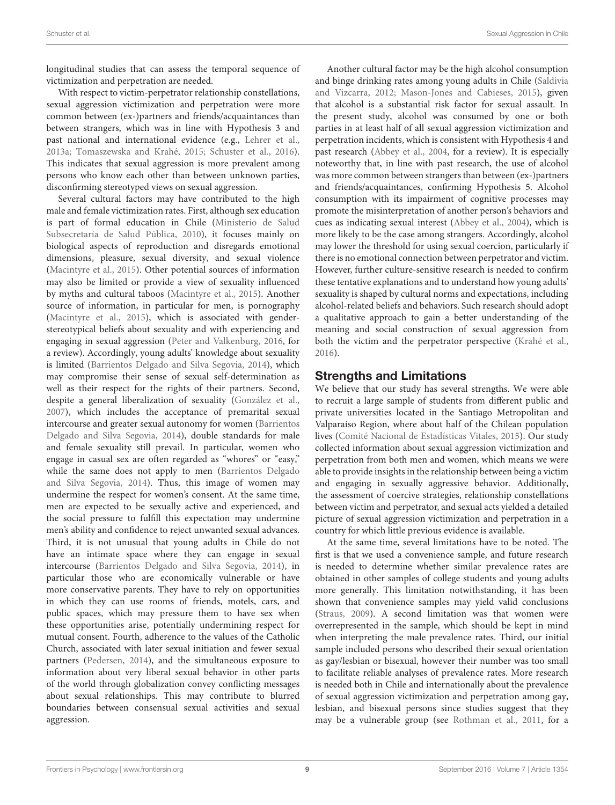longitudinal studies that can assess the temporal sequence of victimization and perpetration are needed.

With respect to victim-perpetrator relationship constellations, sexual aggression victimization and perpetration were more common between (ex-)partners and friends/acquaintances than between strangers, which was in line with Hypothesis 3 and past national and international evidence (e.g., [Lehrer et al.,](#page-10-11) [2013a;](#page-10-11) [Tomaszewska and Krahé, 2015;](#page-10-7) [Schuster et al., 2016\)](#page-10-25). This indicates that sexual aggression is more prevalent among persons who know each other than between unknown parties, disconfirming stereotyped views on sexual aggression.

Several cultural factors may have contributed to the high male and female victimization rates. First, although sex education is part of formal education in Chile (Ministerio de Salud Subsecretaría de Salud Pública, [2010\)](#page-10-30), it focuses mainly on biological aspects of reproduction and disregards emotional dimensions, pleasure, sexual diversity, and sexual violence [\(Macintyre et al., 2015\)](#page-10-31). Other potential sources of information may also be limited or provide a view of sexuality influenced by myths and cultural taboos [\(Macintyre et al., 2015\)](#page-10-31). Another source of information, in particular for men, is pornography [\(Macintyre et al., 2015\)](#page-10-31), which is associated with genderstereotypical beliefs about sexuality and with experiencing and engaging in sexual aggression [\(Peter and Valkenburg, 2016,](#page-10-32) for a review). Accordingly, young adults' knowledge about sexuality is limited [\(Barrientos Delgado and Silva Segovia, 2014\)](#page-9-19), which may compromise their sense of sexual self-determination as well as their respect for the rights of their partners. Second, despite a general liberalization of sexuality [\(González et al.,](#page-9-13) [2007\)](#page-9-13), which includes the acceptance of premarital sexual intercourse and greater sexual autonomy for women (Barrientos Delgado and Silva Segovia, [2014\)](#page-9-19), double standards for male and female sexuality still prevail. In particular, women who engage in casual sex are often regarded as "whores" or "easy," while the same does not apply to men (Barrientos Delgado and Silva Segovia, [2014\)](#page-9-19). Thus, this image of women may undermine the respect for women's consent. At the same time, men are expected to be sexually active and experienced, and the social pressure to fulfill this expectation may undermine men's ability and confidence to reject unwanted sexual advances. Third, it is not unusual that young adults in Chile do not have an intimate space where they can engage in sexual intercourse [\(Barrientos Delgado and Silva Segovia, 2014\)](#page-9-19), in particular those who are economically vulnerable or have more conservative parents. They have to rely on opportunities in which they can use rooms of friends, motels, cars, and public spaces, which may pressure them to have sex when these opportunities arise, potentially undermining respect for mutual consent. Fourth, adherence to the values of the Catholic Church, associated with later sexual initiation and fewer sexual partners [\(Pedersen, 2014\)](#page-10-33), and the simultaneous exposure to information about very liberal sexual behavior in other parts of the world through globalization convey conflicting messages about sexual relationships. This may contribute to blurred boundaries between consensual sexual activities and sexual aggression.

Another cultural factor may be the high alcohol consumption and binge drinking rates among young adults in Chile (Saldivia and Vizcarra, [2012;](#page-10-34) [Mason-Jones and Cabieses, 2015\)](#page-10-35), given that alcohol is a substantial risk factor for sexual assault. In the present study, alcohol was consumed by one or both parties in at least half of all sexual aggression victimization and perpetration incidents, which is consistent with Hypothesis 4 and past research [\(Abbey et al., 2004,](#page-9-9) for a review). It is especially noteworthy that, in line with past research, the use of alcohol was more common between strangers than between (ex-)partners and friends/acquaintances, confirming Hypothesis 5. Alcohol consumption with its impairment of cognitive processes may promote the misinterpretation of another person's behaviors and cues as indicating sexual interest [\(Abbey et al., 2004\)](#page-9-9), which is more likely to be the case among strangers. Accordingly, alcohol may lower the threshold for using sexual coercion, particularly if there is no emotional connection between perpetrator and victim. However, further culture-sensitive research is needed to confirm these tentative explanations and to understand how young adults' sexuality is shaped by cultural norms and expectations, including alcohol-related beliefs and behaviors. Such research should adopt a qualitative approach to gain a better understanding of the meaning and social construction of sexual aggression from both the victim and the perpetrator perspective [\(Krahé et al.,](#page-10-20) [2016\)](#page-10-20).

## Strengths and Limitations

We believe that our study has several strengths. We were able to recruit a large sample of students from different public and private universities located in the Santiago Metropolitan and Valparaíso Region, where about half of the Chilean population lives [\(Comité Nacional de Estadísticas Vitales, 2015\)](#page-9-20). Our study collected information about sexual aggression victimization and perpetration from both men and women, which means we were able to provide insights in the relationship between being a victim and engaging in sexually aggressive behavior. Additionally, the assessment of coercive strategies, relationship constellations between victim and perpetrator, and sexual acts yielded a detailed picture of sexual aggression victimization and perpetration in a country for which little previous evidence is available.

At the same time, several limitations have to be noted. The first is that we used a convenience sample, and future research is needed to determine whether similar prevalence rates are obtained in other samples of college students and young adults more generally. This limitation notwithstanding, it has been shown that convenience samples may yield valid conclusions [\(Straus, 2009\)](#page-10-36). A second limitation was that women were overrepresented in the sample, which should be kept in mind when interpreting the male prevalence rates. Third, our initial sample included persons who described their sexual orientation as gay/lesbian or bisexual, however their number was too small to facilitate reliable analyses of prevalence rates. More research is needed both in Chile and internationally about the prevalence of sexual aggression victimization and perpetration among gay, lesbian, and bisexual persons since studies suggest that they may be a vulnerable group (see [Rothman et al., 2011,](#page-10-37) for a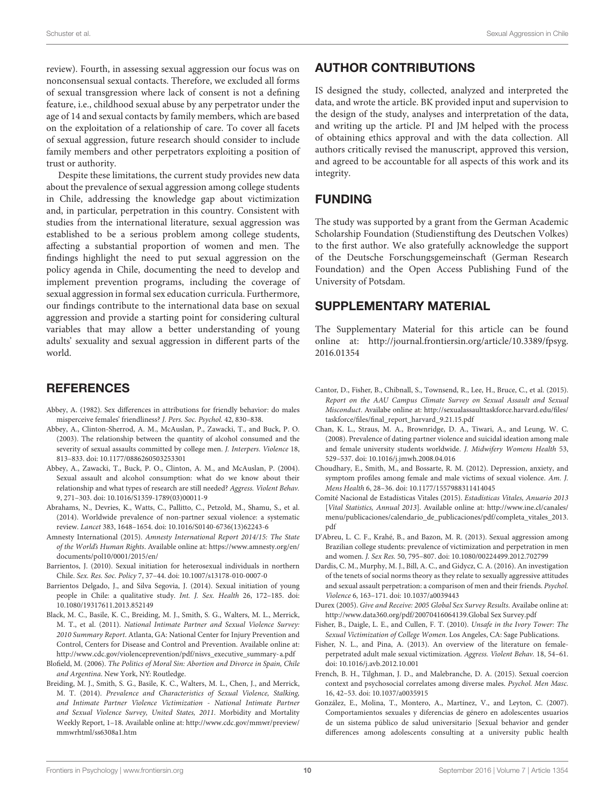review). Fourth, in assessing sexual aggression our focus was on nonconsensual sexual contacts. Therefore, we excluded all forms of sexual transgression where lack of consent is not a defining feature, i.e., childhood sexual abuse by any perpetrator under the age of 14 and sexual contacts by family members, which are based on the exploitation of a relationship of care. To cover all facets of sexual aggression, future research should consider to include family members and other perpetrators exploiting a position of trust or authority.

Despite these limitations, the current study provides new data about the prevalence of sexual aggression among college students in Chile, addressing the knowledge gap about victimization and, in particular, perpetration in this country. Consistent with studies from the international literature, sexual aggression was established to be a serious problem among college students, affecting a substantial proportion of women and men. The findings highlight the need to put sexual aggression on the policy agenda in Chile, documenting the need to develop and implement prevention programs, including the coverage of sexual aggression in formal sex education curricula. Furthermore, our findings contribute to the international data base on sexual aggression and provide a starting point for considering cultural variables that may allow a better understanding of young adults' sexuality and sexual aggression in different parts of the world.

## **REFERENCES**

- <span id="page-9-17"></span>Abbey, A. (1982). Sex differences in attributions for friendly behavior: do males misperceive females' friendliness? J. Pers. Soc. Psychol. 42, 830–838.
- <span id="page-9-10"></span>Abbey, A., Clinton-Sherrod, A. M., McAuslan, P., Zawacki, T., and Buck, P. O. (2003). The relationship between the quantity of alcohol consumed and the severity of sexual assaults committed by college men. J. Interpers. Violence 18, 813–833. doi: 10.1177/0886260503253301
- <span id="page-9-9"></span>Abbey, A., Zawacki, T., Buck, P. O., Clinton, A. M., and McAuslan, P. (2004). Sexual assault and alcohol consumption: what do we know about their relationship and what types of research are still needed? Aggress. Violent Behav. 9, 271–303. doi: 10.1016/S1359-1789(03)00011-9
- <span id="page-9-7"></span>Abrahams, N., Devries, K., Watts, C., Pallitto, C., Petzold, M., Shamu, S., et al. (2014). Worldwide prevalence of non-partner sexual violence: a systematic review. Lancet 383, 1648–1654. doi: 10.1016/S0140-6736(13)62243-6
- <span id="page-9-11"></span>Amnesty International (2015). Amnesty International Report 2014/15: The State of the World's Human Rights. Available online at: [https://www.amnesty.org/en/](https://www.amnesty.org/en/documents/pol10/0001/2015/en/) [documents/pol10/0001/2015/en/](https://www.amnesty.org/en/documents/pol10/0001/2015/en/)
- <span id="page-9-15"></span>Barrientos, J. (2010). Sexual initiation for heterosexual individuals in northern Chile. Sex. Res. Soc. Policy 7, 37–44. doi: 10.1007/s13178-010-0007-0
- <span id="page-9-19"></span>Barrientos Delgado, J., and Silva Segovia, J. (2014). Sexual initiation of young people in Chile: a qualitative study. Int. J. Sex. Health 26, 172–185. doi: 10.1080/19317611.2013.852149
- <span id="page-9-3"></span>Black, M. C., Basile, K. C., Breiding, M. J., Smith, S. G., Walters, M. L., Merrick, M. T., et al. (2011). National Intimate Partner and Sexual Violence Survey: 2010 Summary Report. Atlanta, GA: National Center for Injury Prevention and Control, Centers for Disease and Control and Prevention. Available online at: [http://www.cdc.gov/violenceprevention/pdf/nisvs\\_executive\\_summary-a.pdf](http://www.cdc.gov/violenceprevention/pdf/nisvs_executive_summary-a.pdf)
- <span id="page-9-12"></span>Blofield, M. (2006). The Politics of Moral Sin: Abortion and Divorce in Spain, Chile and Argentina. New York, NY: Routledge.
- <span id="page-9-18"></span>Breiding, M. J., Smith, S. G., Basile, K. C., Walters, M. L., Chen, J., and Merrick, M. T. (2014). Prevalence and Characteristics of Sexual Violence, Stalking, and Intimate Partner Violence Victimization - National Intimate Partner and Sexual Violence Survey, United States, 2011. Morbidity and Mortality Weekly Report, 1–18. Available online at: [http://www.cdc.gov/mmwr/preview/](http://www.cdc.gov/mmwr/preview/mmwrhtml/ss6308a1.htm) [mmwrhtml/ss6308a1.htm](http://www.cdc.gov/mmwr/preview/mmwrhtml/ss6308a1.htm)

# AUTHOR CONTRIBUTIONS

IS designed the study, collected, analyzed and interpreted the data, and wrote the article. BK provided input and supervision to the design of the study, analyses and interpretation of the data, and writing up the article. PI and JM helped with the process of obtaining ethics approval and with the data collection. All authors critically revised the manuscript, approved this version, and agreed to be accountable for all aspects of this work and its integrity.

## FUNDING

The study was supported by a grant from the German Academic Scholarship Foundation (Studienstiftung des Deutschen Volkes) to the first author. We also gratefully acknowledge the support of the Deutsche Forschungsgemeinschaft (German Research Foundation) and the Open Access Publishing Fund of the University of Potsdam.

# SUPPLEMENTARY MATERIAL

The Supplementary Material for this article can be found [online at: http://journal.frontiersin.org/article/10.3389/fpsyg.](http://journal.frontiersin.org/article/10.3389/fpsyg.2016.01354) 2016.01354

- <span id="page-9-2"></span>Cantor, D., Fisher, B., Chibnall, S., Townsend, R., Lee, H., Bruce, C., et al. (2015). Report on the AAU Campus Climate Survey on Sexual Assault and Sexual Misconduct. Availabe online at: [http://sexualassaulttaskforce.harvard.edu/files/](http://sexualassaulttaskforce.harvard.edu/files/taskforce/files/final_report_harvard_9.21.15.pdf) [taskforce/files/final\\_report\\_harvard\\_9.21.15.pdf](http://sexualassaulttaskforce.harvard.edu/files/taskforce/files/final_report_harvard_9.21.15.pdf)
- <span id="page-9-16"></span>Chan, K. L., Straus, M. A., Brownridge, D. A., Tiwari, A., and Leung, W. C. (2008). Prevalence of dating partner violence and suicidal ideation among male and female university students worldwide. J. Midwifery Womens Health 53, 529–537. doi: 10.1016/j.jmwh.2008.04.016
- <span id="page-9-0"></span>Choudhary, E., Smith, M., and Bossarte, R. M. (2012). Depression, anxiety, and symptom profiles among female and male victims of sexual violence. Am. J. Mens Health 6, 28–36. doi: 10.1177/1557988311414045
- <span id="page-9-20"></span>Comité Nacional de Estadísticas Vitales (2015). Estadísticas Vitales, Anuario 2013 [Vital Statistics, Annual 2013]. Available online at: [http://www.ine.cl/canales/](http://www.ine.cl/canales/menu/publicaciones/calendario_de_publicaciones/pdf/completa_vitales_2013.pdf) [menu/publicaciones/calendario\\_de\\_publicaciones/pdf/completa\\_vitales\\_2013.](http://www.ine.cl/canales/menu/publicaciones/calendario_de_publicaciones/pdf/completa_vitales_2013.pdf) [pdf](http://www.ine.cl/canales/menu/publicaciones/calendario_de_publicaciones/pdf/completa_vitales_2013.pdf)
- <span id="page-9-6"></span>D'Abreu, L. C. F., Krahé, B., and Bazon, M. R. (2013). Sexual aggression among Brazilian college students: prevalence of victimization and perpetration in men and women. J. Sex Res. 50, 795–807. doi: 10.1080/00224499.2012.702799
- <span id="page-9-5"></span>Dardis, C. M., Murphy, M. J., Bill, A. C., and Gidycz, C. A. (2016). An investigation of the tenets of social norms theory as they relate to sexually aggressive attitudes and sexual assault perpetration: a comparison of men and their friends. Psychol. Violence 6, 163–171. doi: 10.1037/a0039443
- <span id="page-9-14"></span>Durex (2005). Give and Receive: 2005 Global Sex Survey Results. Availabe online at: <http://www.data360.org/pdf/20070416064139.Global Sex Survey.pdf>
- <span id="page-9-1"></span>Fisher, B., Daigle, L. E., and Cullen, F. T. (2010). Unsafe in the Ivory Tower: The Sexual Victimization of College Women. Los Angeles, CA: Sage Publications.
- <span id="page-9-8"></span>Fisher, N. L., and Pina, A. (2013). An overview of the literature on femaleperpetrated adult male sexual victimization. Aggress. Violent Behav. 18, 54–61. doi: 10.1016/j.avb.2012.10.001
- <span id="page-9-4"></span>French, B. H., Tilghman, J. D., and Malebranche, D. A. (2015). Sexual coercion context and psychosocial correlates among diverse males. Psychol. Men Masc. 16, 42–53. doi: 10.1037/a0035915
- <span id="page-9-13"></span>González, E., Molina, T., Montero, A., Martínez, V., and Leyton, C. (2007). Comportamientos sexuales y diferencias de género en adolescentes usuarios de un sistema público de salud universitario [Sexual behavior and gender differences among adolescents consulting at a university public health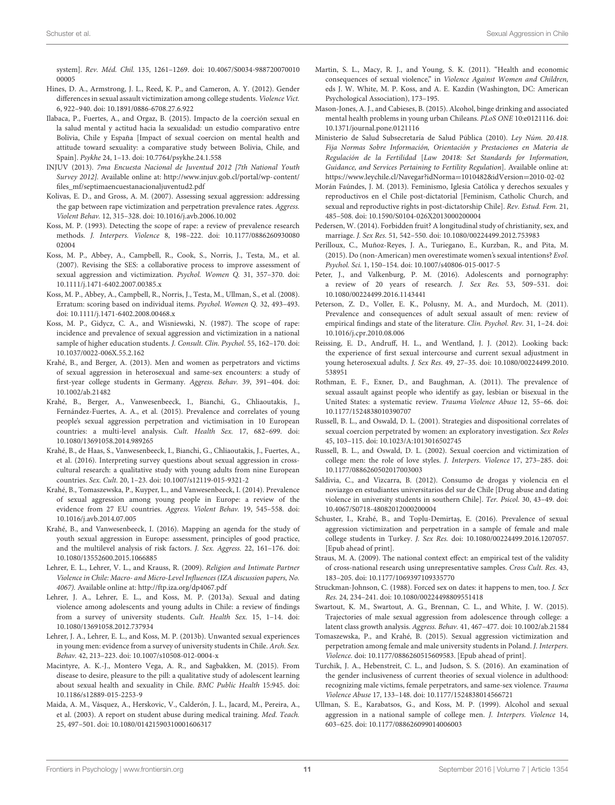system]. Rev. Méd. Chil. 135, 1261–1269. doi: 10.4067/S0034-988720070010 00005

- <span id="page-10-27"></span>Hines, D. A., Armstrong, J. L., Reed, K. P., and Cameron, A. Y. (2012). Gender differences in sexual assault victimization among college students. Violence Vict. 6, 922–940. doi: 10.1891/0886-6708.27.6.922
- <span id="page-10-17"></span>Ilabaca, P., Fuertes, A., and Orgaz, B. (2015). Impacto de la coerción sexual en la salud mental y actitud hacia la sexualidad: un estudio comparativo entre Bolivia, Chile y España [Impact of sexual coercion on mental health and attitude toward sexuality: a comparative study between Bolivia, Chile, and Spain]. Psykhe 24, 1–13. doi: 10.7764/psykhe.24.1.558
- <span id="page-10-15"></span>INJUV (2013). 7ma Encuesta Nacional de Juventud 2012 [7th National Youth Survey 2012]. Available online at: [http://www.injuv.gob.cl/portal/wp-content/](http://www.injuv.gob.cl/portal/wp-content/files_mf/septimaencuestanacionaljuventud2.pdf) [files\\_mf/septimaencuestanacionaljuventud2.pdf](http://www.injuv.gob.cl/portal/wp-content/files_mf/septimaencuestanacionaljuventud2.pdf)
- <span id="page-10-8"></span>Kolivas, E. D., and Gross, A. M. (2007). Assessing sexual aggression: addressing the gap between rape victimization and perpetration prevalence rates. Aggress. Violent Behav. 12, 315–328. doi: 10.1016/j.avb.2006.10.002
- <span id="page-10-19"></span>Koss, M. P. (1993). Detecting the scope of rape: a review of prevalence research methods. J. Interpers. Violence 8, 198–222. doi: 10.1177/0886260930080 02004
- <span id="page-10-21"></span>Koss, M. P., Abbey, A., Campbell, R., Cook, S., Norris, J., Testa, M., et al. (2007). Revising the SES: a collaborative process to improve assessment of sexual aggression and victimization. Psychol. Women Q. 31, 357–370. doi: 10.1111/j.1471-6402.2007.00385.x
- <span id="page-10-23"></span>Koss, M. P., Abbey, A., Campbell, R., Norris, J., Testa, M., Ullman, S., et al. (2008). Erratum: scoring based on individual items. Psychol. Women Q. 32, 493–493. doi: 10.1111/j.1471-6402.2008.00468.x
- <span id="page-10-3"></span>Koss, M. P., Gidycz, C. A., and Wisniewski, N. (1987). The scope of rape: incidence and prevalence of sexual aggression and victimization in a national sample of higher education students. J. Consult. Clin. Psychol. 55, 162–170. doi: 10.1037/0022-006X.55.2.162
- <span id="page-10-5"></span>Krahé, B., and Berger, A. (2013). Men and women as perpetrators and victims of sexual aggression in heterosexual and same-sex encounters: a study of first-year college students in Germany. Aggress. Behav. 39, 391–404. doi: 10.1002/ab.21482
- <span id="page-10-2"></span>Krahé, B., Berger, A., Vanwesenbeeck, I., Bianchi, G., Chliaoutakis, J., Fernández-Fuertes, A. A., et al. (2015). Prevalence and correlates of young people's sexual aggression perpetration and victimisation in 10 European countries: a multi-level analysis. Cult. Health Sex. 17, 682–699. doi: 10.1080/13691058.2014.989265
- <span id="page-10-20"></span>Krahé, B., de Haas, S., Vanwesenbeeck, I., Bianchi, G., Chliaoutakis, J., Fuertes, A., et al. (2016). Interpreting survey questions about sexual aggression in crosscultural research: a qualitative study with young adults from nine European countries. Sex. Cult. 20, 1–23. doi: 10.1007/s12119-015-9321-2
- <span id="page-10-1"></span>Krahé, B., Tomaszewska, P., Kuyper, L., and Vanwesenbeeck, I. (2014). Prevalence of sexual aggression among young people in Europe: a review of the evidence from 27 EU countries. Aggress. Violent Behav. 19, 545–558. doi: 10.1016/j.avb.2014.07.005
- <span id="page-10-22"></span>Krahé, B., and Vanwesenbeeck, I. (2016). Mapping an agenda for the study of youth sexual aggression in Europe: assessment, principles of good practice, and the multilevel analysis of risk factors. J. Sex. Aggress. 22, 161–176. doi: 10.1080/13552600.2015.1066885
- <span id="page-10-13"></span>Lehrer, E. L., Lehrer, V. L., and Krauss, R. (2009). Religion and Intimate Partner Violence in Chile: Macro- and Micro-Level Influences (IZA discussion papers, No. 4067). Available online at:<http://ftp.iza.org/dp4067.pdf>
- <span id="page-10-11"></span>Lehrer, J. A., Lehrer, E. L., and Koss, M. P. (2013a). Sexual and dating violence among adolescents and young adults in Chile: a review of findings from a survey of university students. Cult. Health Sex. 15, 1–14. doi: 10.1080/13691058.2012.737934
- <span id="page-10-18"></span>Lehrer, J. A., Lehrer, E. L., and Koss, M. P. (2013b). Unwanted sexual experiences in young men: evidence from a survey of university students in Chile. Arch. Sex. Behav. 42, 213–223. doi: 10.1007/s10508-012-0004-x
- <span id="page-10-31"></span>Macintyre, A. K.-J., Montero Vega, A. R., and Sagbakken, M. (2015). From disease to desire, pleasure to the pill: a qualitative study of adolescent learning about sexual health and sexuality in Chile. BMC Public Health 15:945. doi: 10.1186/s12889-015-2253-9
- <span id="page-10-16"></span>Maida, A. M., Vásquez, A., Herskovic, V., Calderón, J. L., Jacard, M., Pereira, A., et al. (2003). A report on student abuse during medical training. Med. Teach. 25, 497–501. doi: 10.1080/01421590310001606317
- <span id="page-10-0"></span>Martin, S. L., Macy, R. J., and Young, S. K. (2011). "Health and economic consequences of sexual violence," in Violence Against Women and Children, eds J. W. White, M. P. Koss, and A. E. Kazdin (Washington, DC: American Psychological Association), 173–195.
- <span id="page-10-35"></span>Mason-Jones, A. J., and Cabieses, B. (2015). Alcohol, binge drinking and associated mental health problems in young urban Chileans. PLoS ONE 10:e0121116. doi: 10.1371/journal.pone.0121116
- <span id="page-10-30"></span>Ministerio de Salud Subsecretaría de Salud Pública (2010). Ley Núm. 20.418. Fija Normas Sobre Información, Orientación y Prestaciones en Materia de Regulación de la Fertilidad [Law 20418: Set Standards for Information, Guidance, and Services Pertaining to Fertility Regulation]. Available online at: [https://www.leychile.cl/Navegar?idNorma](https://www.leychile.cl/Navegar?idNorma=1010482&idVersion=2010-02-02)=1010482&idVersion=2010-02-02
- <span id="page-10-14"></span>Morán Faúndes, J. M. (2013). Feminismo, Iglesia Católica y derechos sexuales y reproductivos en el Chile post-dictatorial [Feminism, Catholic Church, and sexual and reproductive rights in post-dictatorship Chile]. Rev. Estud. Fem. 21, 485–508. doi: 10.1590/S0104-026X2013000200004
- <span id="page-10-33"></span>Pedersen, W. (2014). Forbidden fruit? A longitudinal study of christianity, sex, and marriage. J. Sex Res. 51, 542–550. doi: 10.1080/00224499.2012.753983
- <span id="page-10-26"></span>Perilloux, C., Muñoz-Reyes, J. A., Turiegano, E., Kurzban, R., and Pita, M. (2015). Do (non-American) men overestimate women's sexual intentions? Evol. Psychol. Sci. 1, 150–154. doi: 10.1007/s40806-015-0017-5
- <span id="page-10-32"></span>Peter, J., and Valkenburg, P. M. (2016). Adolescents and pornography: a review of 20 years of research. J. Sex Res. 53, 509–531. doi: 10.1080/00224499.2016.1143441
- <span id="page-10-9"></span>Peterson, Z. D., Voller, E. K., Polusny, M. A., and Murdoch, M. (2011). Prevalence and consequences of adult sexual assault of men: review of empirical findings and state of the literature. Clin. Psychol. Rev. 31, 1–24. doi: 10.1016/j.cpr.2010.08.006
- <span id="page-10-24"></span>Reissing, E. D., Andruff, H. L., and Wentland, J. J. (2012). Looking back: the experience of first sexual intercourse and current sexual adjustment in young heterosexual adults. J. Sex Res. 49, 27–35. doi: 10.1080/00224499.2010. 538951
- <span id="page-10-37"></span>Rothman, E. F., Exner, D., and Baughman, A. (2011). The prevalence of sexual assault against people who identify as gay, lesbian or bisexual in the United States: a systematic review. Trauma Violence Abuse 12, 55–66. doi: 10.1177/1524838010390707
- <span id="page-10-28"></span>Russell, B. L., and Oswald, D. L. (2001). Strategies and dispositional correlates of sexual coercion perpetrated by women: an exploratory investigation. Sex Roles 45, 103–115. doi: 10.1023/A:1013016502745
- <span id="page-10-29"></span>Russell, B. L., and Oswald, D. L. (2002). Sexual coercion and victimization of college men: the role of love styles. J. Interpers. Violence 17, 273–285. doi: 10.1177/0886260502017003003
- <span id="page-10-34"></span>Saldivia, C., and Vizcarra, B. (2012). Consumo de drogas y violencia en el noviazgo en estudiantes universitarios del sur de Chile [Drug abuse and dating violence in university students in southern Chile]. Ter. Psicol. 30, 43–49. doi: 10.4067/S0718-48082012000200004
- <span id="page-10-25"></span>Schuster, I., Krahé, B., and Toplu-Demirtaş, E. (2016). Prevalence of sexual aggression victimization and perpetration in a sample of female and male college students in Turkey. J. Sex Res. doi: 10.1080/00224499.2016.1207057. [Epub ahead of print].
- <span id="page-10-36"></span>Straus, M. A. (2009). The national context effect: an empirical test of the validity of cross-national research using unrepresentative samples. Cross Cult. Res. 43, 183–205. doi: 10.1177/1069397109335770
- <span id="page-10-6"></span>Struckman-Johnson, C. (1988). Forced sex on dates: it happens to men, too. J. Sex Res. 24, 234–241. doi: 10.1080/00224498809551418
- <span id="page-10-4"></span>Swartout, K. M., Swartout, A. G., Brennan, C. L., and White, J. W. (2015). Trajectories of male sexual aggression from adolescence through college: a latent class growth analysis. Aggress. Behav. 41, 467–477. doi: 10.1002/ab.21584
- <span id="page-10-7"></span>Tomaszewska, P., and Krahé, B. (2015). Sexual aggression victimization and perpetration among female and male university students in Poland. J. Interpers. Violence. doi: 10.1177/0886260515609583. [Epub ahead of print].
- <span id="page-10-10"></span>Turchik, J. A., Hebenstreit, C. L., and Judson, S. S. (2016). An examination of the gender inclusiveness of current theories of sexual violence in adulthood: recognizing male victims, female perpetrators, and same-sex violence. Trauma Violence Abuse 17, 133–148. doi: 10.1177/1524838014566721
- <span id="page-10-12"></span>Ullman, S. E., Karabatsos, G., and Koss, M. P. (1999). Alcohol and sexual aggression in a national sample of college men. J. Interpers. Violence 14, 603–625. doi: 10.1177/088626099014006003